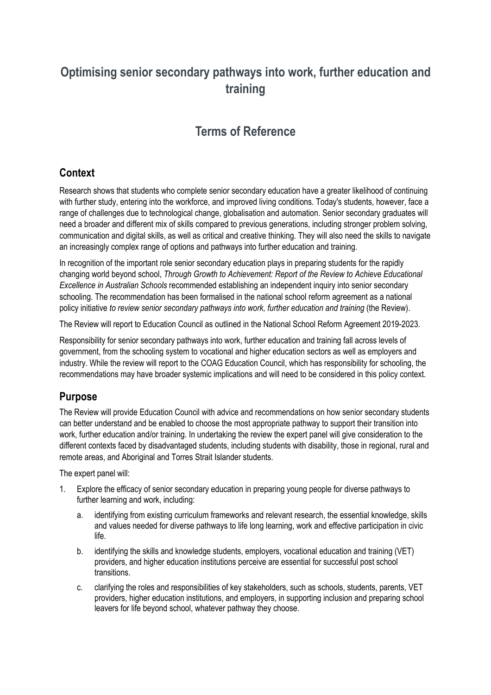# **Optimising senior secondary pathways into work, further education and training**

# **Terms of Reference**

#### **Context**

Research shows that students who complete senior secondary education have a greater likelihood of continuing with further study, entering into the workforce, and improved living conditions. Today's students, however, face a range of challenges due to technological change, globalisation and automation. Senior secondary graduates will need a broader and different mix of skills compared to previous generations, including stronger problem solving, communication and digital skills, as well as critical and creative thinking. They will also need the skills to navigate an increasingly complex range of options and pathways into further education and training.

In recognition of the important role senior secondary education plays in preparing students for the rapidly changing world beyond school, *Through Growth to Achievement: Report of the Review to Achieve Educational Excellence in Australian Schools* recommended establishing an independent inquiry into senior secondary schooling. The recommendation has been formalised in the national school reform agreement as a national policy initiative *to review senior secondary pathways into work, further education and training* (the Review).

The Review will report to Education Council as outlined in the National School Reform Agreement 2019-2023.

Responsibility for senior secondary pathways into work, further education and training fall across levels of government, from the schooling system to vocational and higher education sectors as well as employers and industry. While the review will report to the COAG Education Council, which has responsibility for schooling, the recommendations may have broader systemic implications and will need to be considered in this policy context.

### **Purpose**

The Review will provide Education Council with advice and recommendations on how senior secondary students can better understand and be enabled to choose the most appropriate pathway to support their transition into work, further education and/or training. In undertaking the review the expert panel will give consideration to the different contexts faced by disadvantaged students, including students with disability, those in regional, rural and remote areas, and Aboriginal and Torres Strait Islander students.

The expert panel will:

- 1. Explore the efficacy of senior secondary education in preparing young people for diverse pathways to further learning and work, including:
	- a. identifying from existing curriculum frameworks and relevant research, the essential knowledge, skills and values needed for diverse pathways to life long learning, work and effective participation in civic life.
	- b. identifying the skills and knowledge students, employers, vocational education and training (VET) providers, and higher education institutions perceive are essential for successful post school transitions.
	- c. clarifying the roles and responsibilities of key stakeholders, such as schools, students, parents, VET providers, higher education institutions, and employers, in supporting inclusion and preparing school leavers for life beyond school, whatever pathway they choose.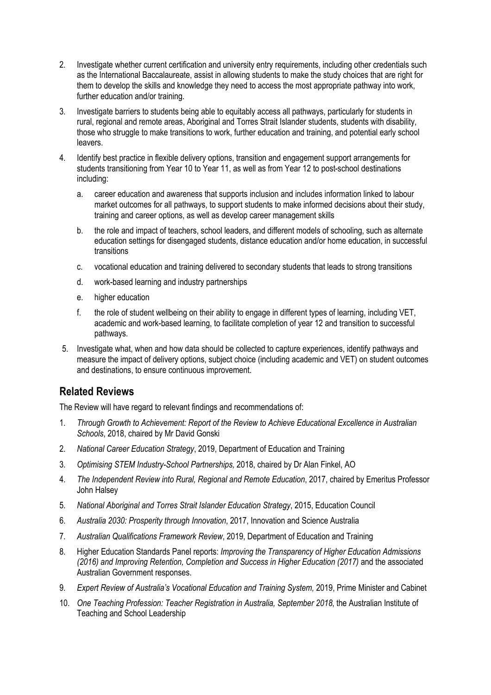- 2. Investigate whether current certification and university entry requirements, including other credentials such as the International Baccalaureate, assist in allowing students to make the study choices that are right for them to develop the skills and knowledge they need to access the most appropriate pathway into work, further education and/or training.
- 3. Investigate barriers to students being able to equitably access all pathways, particularly for students in rural, regional and remote areas, Aboriginal and Torres Strait Islander students, students with disability, those who struggle to make transitions to work, further education and training, and potential early school leavers.
- 4. Identify best practice in flexible delivery options, transition and engagement support arrangements for students transitioning from Year 10 to Year 11, as well as from Year 12 to post-school destinations including:
	- a. career education and awareness that supports inclusion and includes information linked to labour market outcomes for all pathways, to support students to make informed decisions about their study, training and career options, as well as develop career management skills
	- b. the role and impact of teachers, school leaders, and different models of schooling, such as alternate education settings for disengaged students, distance education and/or home education, in successful transitions
	- c. vocational education and training delivered to secondary students that leads to strong transitions
	- d. work-based learning and industry partnerships
	- e. higher education
	- f. the role of student wellbeing on their ability to engage in different types of learning, including VET, academic and work-based learning, to facilitate completion of year 12 and transition to successful pathways.
- 5. Investigate what, when and how data should be collected to capture experiences, identify pathways and measure the impact of delivery options, subject choice (including academic and VET) on student outcomes and destinations, to ensure continuous improvement.

#### **Related Reviews**

The Review will have regard to relevant findings and recommendations of:

- 1. *Through Growth to Achievement: Report of the Review to Achieve Educational Excellence in Australian Schools*, 2018, chaired by Mr David Gonski
- 2. *National Career Education Strategy*, 2019, Department of Education and Training
- 3. *Optimising STEM Industry-School Partnerships,* 2018, chaired by Dr Alan Finkel, AO
- 4. *The Independent Review into Rural, Regional and Remote Education*, 2017, chaired by Emeritus Professor John Halsey
- 5. *National Aboriginal and Torres Strait Islander Education Strategy*, 2015, Education Council
- 6. *Australia 2030: Prosperity through Innovation*, 2017, Innovation and Science Australia
- 7. *Australian Qualifications Framework Review*, 2019, Department of Education and Training
- 8. Higher Education Standards Panel reports: *Improving the Transparency of Higher Education Admissions*  (2016) and Improving Retention, Completion and Success in Higher Education (2017) and the associated Australian Government responses.
- 9. *Expert Review of Australia's Vocational Education and Training System,* 2019, Prime Minister and Cabinet
- 10. *One Teaching Profession: Teacher Registration in Australia, September 2018*, the Australian Institute of Teaching and School Leadership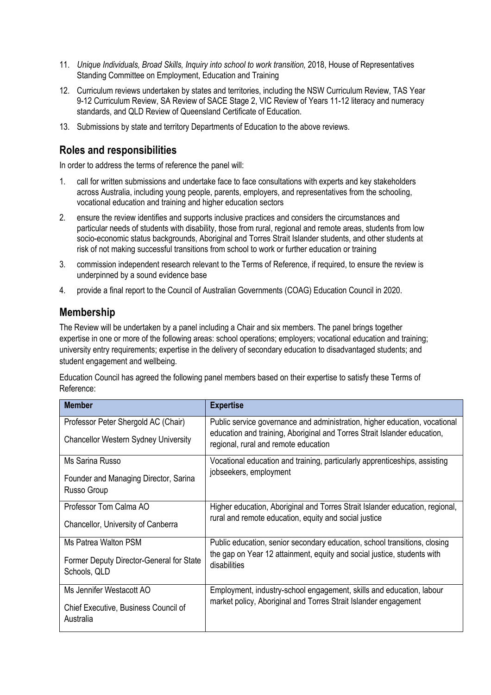- 11. *Unique Individuals, Broad Skills, Inquiry into school to work transition, 2018, House of Representatives* Standing Committee on Employment, Education and Training
- 12. Curriculum reviews undertaken by states and territories, including the NSW Curriculum Review, TAS Year 9-12 Curriculum Review, SA Review of SACE Stage 2, VIC Review of Years 11-12 literacy and numeracy standards, and QLD Review of Queensland Certificate of Education.
- 13. Submissions by state and territory Departments of Education to the above reviews.

#### **Roles and responsibilities**

In order to address the terms of reference the panel will:

- 1. call for written submissions and undertake face to face consultations with experts and key stakeholders across Australia, including young people, parents, employers, and representatives from the schooling, vocational education and training and higher education sectors
- 2. ensure the review identifies and supports inclusive practices and considers the circumstances and particular needs of students with disability, those from rural, regional and remote areas, students from low socio-economic status backgrounds, Aboriginal and Torres Strait Islander students, and other students at risk of not making successful transitions from school to work or further education or training
- 3. commission independent research relevant to the Terms of Reference, if required, to ensure the review is underpinned by a sound evidence base
- 4. provide a final report to the Council of Australian Governments (COAG) Education Council in 2020.

#### **Membership**

The Review will be undertaken by a panel including a Chair and six members. The panel brings together expertise in one or more of the following areas: school operations; employers; vocational education and training; university entry requirements; expertise in the delivery of secondary education to disadvantaged students; and student engagement and wellbeing.

Education Council has agreed the following panel members based on their expertise to satisfy these Terms of Reference:

| <b>Member</b>                                            | <b>Expertise</b>                                                                                                 |
|----------------------------------------------------------|------------------------------------------------------------------------------------------------------------------|
| Professor Peter Shergold AC (Chair)                      | Public service governance and administration, higher education, vocational                                       |
| <b>Chancellor Western Sydney University</b>              | education and training, Aboriginal and Torres Strait Islander education,<br>regional, rural and remote education |
| Ms Sarina Russo                                          | Vocational education and training, particularly apprenticeships, assisting                                       |
| Founder and Managing Director, Sarina<br>Russo Group     | jobseekers, employment                                                                                           |
| Professor Tom Calma AO                                   | Higher education, Aboriginal and Torres Strait Islander education, regional,                                     |
| Chancellor, University of Canberra                       | rural and remote education, equity and social justice                                                            |
| Ms Patrea Walton PSM                                     | Public education, senior secondary education, school transitions, closing                                        |
| Former Deputy Director-General for State<br>Schools, QLD | the gap on Year 12 attainment, equity and social justice, students with<br>disabilities                          |
| Ms Jennifer Westacott AO                                 | Employment, industry-school engagement, skills and education, labour                                             |
| Chief Executive, Business Council of<br>Australia        | market policy, Aboriginal and Torres Strait Islander engagement                                                  |